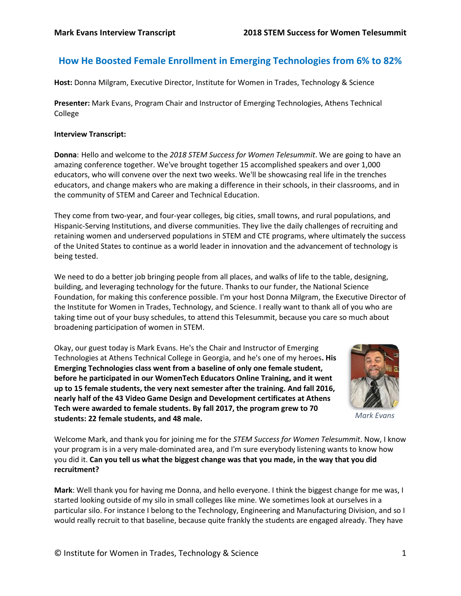# **How He Boosted Female Enrollment in Emerging Technologies from 6% to 82%**

**Host:** Donna Milgram, Executive Director, Institute for Women in Trades, Technology & Science

**Presenter:** Mark Evans, Program Chair and Instructor of Emerging Technologies, Athens Technical College

## **Interview Transcript:**

**Donna**: Hello and welcome to the *2018 STEM Success for Women Telesummit*. We are going to have an amazing conference together. We've brought together 15 accomplished speakers and over 1,000 educators, who will convene over the next two weeks. We'll be showcasing real life in the trenches educators, and change makers who are making a difference in their schools, in their classrooms, and in the community of STEM and Career and Technical Education.

They come from two-year, and four-year colleges, big cities, small towns, and rural populations, and Hispanic-Serving Institutions, and diverse communities. They live the daily challenges of recruiting and retaining women and underserved populations in STEM and CTE programs, where ultimately the success of the United States to continue as a world leader in innovation and the advancement of technology is being tested.

We need to do a better job bringing people from all places, and walks of life to the table, designing, building, and leveraging technology for the future. Thanks to our funder, the National Science Foundation, for making this conference possible. I'm your host Donna Milgram, the Executive Director of the Institute for Women in Trades, Technology, and Science. I really want to thank all of you who are taking time out of your busy schedules, to attend this Telesummit, because you care so much about broadening participation of women in STEM.

Okay, our guest today is Mark Evans. He's the Chair and Instructor of Emerging Technologies at Athens Technical College in Georgia, and he's one of my heroes**. His Emerging Technologies class went from a baseline of only one female student, before he participated in our WomenTech Educators Online Training, and it went up to 15 female students, the very next semester after the training. And fall 2016, nearly half of the 43 Video Game Design and Development certificates at Athens Tech were awarded to female students. By fall 2017, the program grew to 70 students: 22 female students, and 48 male.** 



*Mark Evans*

Welcome Mark, and thank you for joining me for the *STEM Success for Women Telesummit*. Now, I know your program is in a very male-dominated area, and I'm sure everybody listening wants to know how you did it. **Can you tell us what the biggest change was that you made, in the way that you did recruitment?**

**Mark**: Well thank you for having me Donna, and hello everyone. I think the biggest change for me was, I started looking outside of my silo in small colleges like mine. We sometimes look at ourselves in a particular silo. For instance I belong to the Technology, Engineering and Manufacturing Division, and so I would really recruit to that baseline, because quite frankly the students are engaged already. They have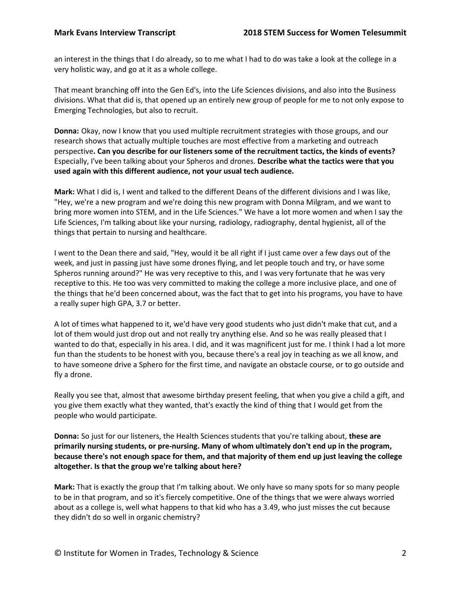an interest in the things that I do already, so to me what I had to do was take a look at the college in a very holistic way, and go at it as a whole college.

That meant branching off into the Gen Ed's, into the Life Sciences divisions, and also into the Business divisions. What that did is, that opened up an entirely new group of people for me to not only expose to Emerging Technologies, but also to recruit.

**Donna:** Okay, now I know that you used multiple recruitment strategies with those groups, and our research shows that actually multiple touches are most effective from a marketing and outreach perspective**. Can you describe for our listeners some of the recruitment tactics, the kinds of events?** Especially, I've been talking about your Spheros and drones. **Describe what the tactics were that you used again with this different audience, not your usual tech audience.**

**Mark:** What I did is, I went and talked to the different Deans of the different divisions and I was like, "Hey, we're a new program and we're doing this new program with Donna Milgram, and we want to bring more women into STEM, and in the Life Sciences." We have a lot more women and when I say the Life Sciences, I'm talking about like your nursing, radiology, radiography, dental hygienist, all of the things that pertain to nursing and healthcare.

I went to the Dean there and said, "Hey, would it be all right if I just came over a few days out of the week, and just in passing just have some drones flying, and let people touch and try, or have some Spheros running around?" He was very receptive to this, and I was very fortunate that he was very receptive to this. He too was very committed to making the college a more inclusive place, and one of the things that he'd been concerned about, was the fact that to get into his programs, you have to have a really super high GPA, 3.7 or better.

A lot of times what happened to it, we'd have very good students who just didn't make that cut, and a lot of them would just drop out and not really try anything else. And so he was really pleased that I wanted to do that, especially in his area. I did, and it was magnificent just for me. I think I had a lot more fun than the students to be honest with you, because there's a real joy in teaching as we all know, and to have someone drive a Sphero for the first time, and navigate an obstacle course, or to go outside and fly a drone.

Really you see that, almost that awesome birthday present feeling, that when you give a child a gift, and you give them exactly what they wanted, that's exactly the kind of thing that I would get from the people who would participate.

**Donna:** So just for our listeners, the Health Sciences students that you're talking about, **these are primarily nursing students, or pre-nursing. Many of whom ultimately don't end up in the program, because there's not enough space for them, and that majority of them end up just leaving the college altogether. Is that the group we're talking about here?**

**Mark:** That is exactly the group that I'm talking about. We only have so many spots for so many people to be in that program, and so it's fiercely competitive. One of the things that we were always worried about as a college is, well what happens to that kid who has a 3.49, who just misses the cut because they didn't do so well in organic chemistry?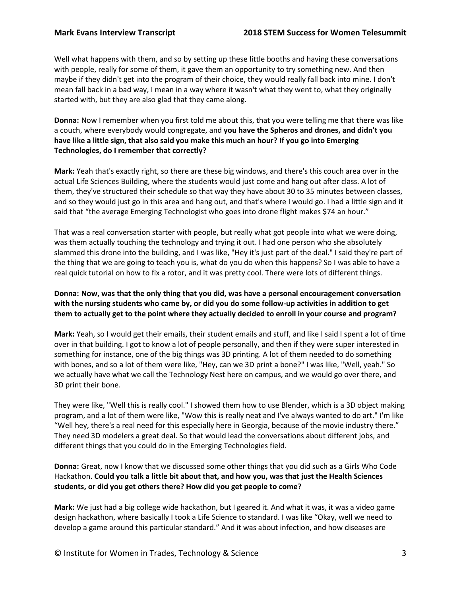Well what happens with them, and so by setting up these little booths and having these conversations with people, really for some of them, it gave them an opportunity to try something new. And then maybe if they didn't get into the program of their choice, they would really fall back into mine. I don't mean fall back in a bad way, I mean in a way where it wasn't what they went to, what they originally started with, but they are also glad that they came along.

**Donna:** Now I remember when you first told me about this, that you were telling me that there was like a couch, where everybody would congregate, and **you have the Spheros and drones, and didn't you have like a little sign, that also said you make this much an hour? If you go into Emerging Technologies, do I remember that correctly?**

**Mark:** Yeah that's exactly right, so there are these big windows, and there's this couch area over in the actual Life Sciences Building, where the students would just come and hang out after class. A lot of them, they've structured their schedule so that way they have about 30 to 35 minutes between classes, and so they would just go in this area and hang out, and that's where I would go. I had a little sign and it said that "the average Emerging Technologist who goes into drone flight makes \$74 an hour."

That was a real conversation starter with people, but really what got people into what we were doing, was them actually touching the technology and trying it out. I had one person who she absolutely slammed this drone into the building, and I was like, "Hey it's just part of the deal." I said they're part of the thing that we are going to teach you is, what do you do when this happens? So I was able to have a real quick tutorial on how to fix a rotor, and it was pretty cool. There were lots of different things.

# **Donna: Now, was that the only thing that you did, was have a personal encouragement conversation with the nursing students who came by, or did you do some follow-up activities in addition to get them to actually get to the point where they actually decided to enroll in your course and program?**

**Mark:** Yeah, so I would get their emails, their student emails and stuff, and like I said I spent a lot of time over in that building. I got to know a lot of people personally, and then if they were super interested in something for instance, one of the big things was 3D printing. A lot of them needed to do something with bones, and so a lot of them were like, "Hey, can we 3D print a bone?" I was like, "Well, yeah." So we actually have what we call the Technology Nest here on campus, and we would go over there, and 3D print their bone.

They were like, "Well this is really cool." I showed them how to use Blender, which is a 3D object making program, and a lot of them were like, "Wow this is really neat and I've always wanted to do art." I'm like "Well hey, there's a real need for this especially here in Georgia, because of the movie industry there." They need 3D modelers a great deal. So that would lead the conversations about different jobs, and different things that you could do in the Emerging Technologies field.

**Donna:** Great, now I know that we discussed some other things that you did such as a Girls Who Code Hackathon. **Could you talk a little bit about that, and how you, was that just the Health Sciences students, or did you get others there? How did you get people to come?**

**Mark:** We just had a big college wide hackathon, but I geared it. And what it was, it was a video game design hackathon, where basically I took a Life Science to standard. I was like "Okay, well we need to develop a game around this particular standard." And it was about infection, and how diseases are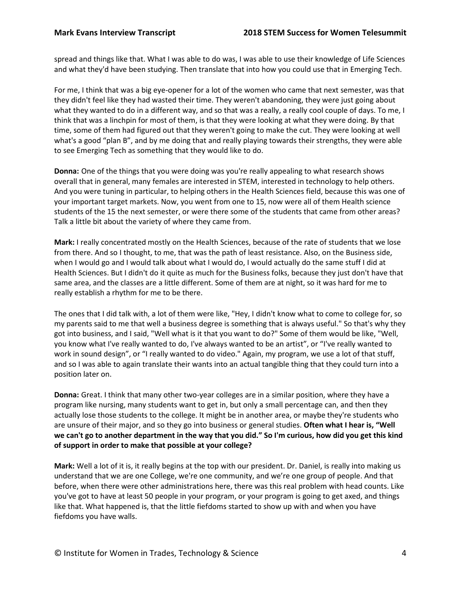spread and things like that. What I was able to do was, I was able to use their knowledge of Life Sciences and what they'd have been studying. Then translate that into how you could use that in Emerging Tech.

For me, I think that was a big eye-opener for a lot of the women who came that next semester, was that they didn't feel like they had wasted their time. They weren't abandoning, they were just going about what they wanted to do in a different way, and so that was a really, a really cool couple of days. To me, I think that was a linchpin for most of them, is that they were looking at what they were doing. By that time, some of them had figured out that they weren't going to make the cut. They were looking at well what's a good "plan B", and by me doing that and really playing towards their strengths, they were able to see Emerging Tech as something that they would like to do.

**Donna:** One of the things that you were doing was you're really appealing to what research shows overall that in general, many females are interested in STEM, interested in technology to help others. And you were tuning in particular, to helping others in the Health Sciences field, because this was one of your important target markets. Now, you went from one to 15, now were all of them Health science students of the 15 the next semester, or were there some of the students that came from other areas? Talk a little bit about the variety of where they came from.

**Mark:** I really concentrated mostly on the Health Sciences, because of the rate of students that we lose from there. And so I thought, to me, that was the path of least resistance. Also, on the Business side, when I would go and I would talk about what I would do, I would actually do the same stuff I did at Health Sciences. But I didn't do it quite as much for the Business folks, because they just don't have that same area, and the classes are a little different. Some of them are at night, so it was hard for me to really establish a rhythm for me to be there.

The ones that I did talk with, a lot of them were like, "Hey, I didn't know what to come to college for, so my parents said to me that well a business degree is something that is always useful." So that's why they got into business, and I said, "Well what is it that you want to do?" Some of them would be like, "Well, you know what I've really wanted to do, I've always wanted to be an artist", or "I've really wanted to work in sound design", or "I really wanted to do video." Again, my program, we use a lot of that stuff, and so I was able to again translate their wants into an actual tangible thing that they could turn into a position later on.

**Donna:** Great. I think that many other two-year colleges are in a similar position, where they have a program like nursing, many students want to get in, but only a small percentage can, and then they actually lose those students to the college. It might be in another area, or maybe they're students who are unsure of their major, and so they go into business or general studies. **Often what I hear is, "Well we can't go to another department in the way that you did." So I'm curious, how did you get this kind of support in order to make that possible at your college?**

**Mark:** Well a lot of it is, it really begins at the top with our president. Dr. Daniel, is really into making us understand that we are one College, we're one community, and we're one group of people. And that before, when there were other administrations here, there was this real problem with head counts. Like you've got to have at least 50 people in your program, or your program is going to get axed, and things like that. What happened is, that the little fiefdoms started to show up with and when you have fiefdoms you have walls.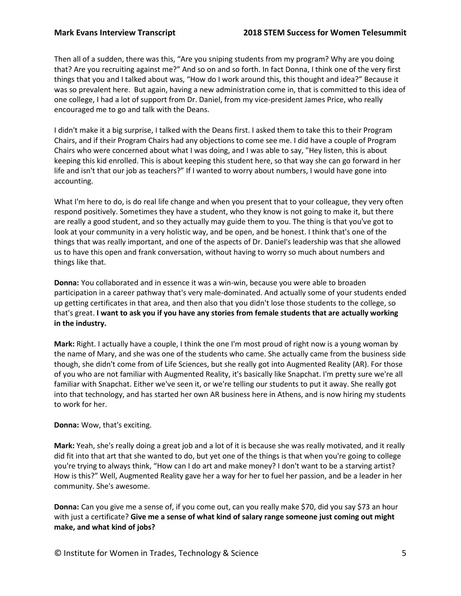Then all of a sudden, there was this, "Are you sniping students from my program? Why are you doing that? Are you recruiting against me?" And so on and so forth. In fact Donna, I think one of the very first things that you and I talked about was, "How do I work around this, this thought and idea?" Because it was so prevalent here. But again, having a new administration come in, that is committed to this idea of one college, I had a lot of support from Dr. Daniel, from my vice-president James Price, who really encouraged me to go and talk with the Deans.

I didn't make it a big surprise, I talked with the Deans first. I asked them to take this to their Program Chairs, and if their Program Chairs had any objections to come see me. I did have a couple of Program Chairs who were concerned about what I was doing, and I was able to say, "Hey listen, this is about keeping this kid enrolled. This is about keeping this student here, so that way she can go forward in her life and isn't that our job as teachers?" If I wanted to worry about numbers, I would have gone into accounting.

What I'm here to do, is do real life change and when you present that to your colleague, they very often respond positively. Sometimes they have a student, who they know is not going to make it, but there are really a good student, and so they actually may guide them to you. The thing is that you've got to look at your community in a very holistic way, and be open, and be honest. I think that's one of the things that was really important, and one of the aspects of Dr. Daniel's leadership was that she allowed us to have this open and frank conversation, without having to worry so much about numbers and things like that.

**Donna:** You collaborated and in essence it was a win-win, because you were able to broaden participation in a career pathway that's very male-dominated. And actually some of your students ended up getting certificates in that area, and then also that you didn't lose those students to the college, so that's great. **I want to ask you if you have any stories from female students that are actually working in the industry.**

**Mark:** Right. I actually have a couple, I think the one I'm most proud of right now is a young woman by the name of Mary, and she was one of the students who came. She actually came from the business side though, she didn't come from of Life Sciences, but she really got into Augmented Reality (AR). For those of you who are not familiar with Augmented Reality, it's basically like Snapchat. I'm pretty sure we're all familiar with Snapchat. Either we've seen it, or we're telling our students to put it away. She really got into that technology, and has started her own AR business here in Athens, and is now hiring my students to work for her.

## **Donna:** Wow, that's exciting.

**Mark:** Yeah, she's really doing a great job and a lot of it is because she was really motivated, and it really did fit into that art that she wanted to do, but yet one of the things is that when you're going to college you're trying to always think, "How can I do art and make money? I don't want to be a starving artist? How is this?" Well, Augmented Reality gave her a way for her to fuel her passion, and be a leader in her community. She's awesome.

**Donna:** Can you give me a sense of, if you come out, can you really make \$70, did you say \$73 an hour with just a certificate? **Give me a sense of what kind of salary range someone just coming out might make, and what kind of jobs?**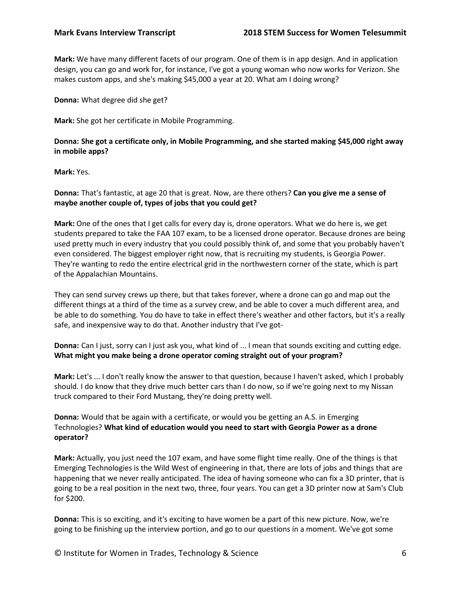**Mark:** We have many different facets of our program. One of them is in app design. And in application design, you can go and work for, for instance, I've got a young woman who now works for Verizon. She makes custom apps, and she's making \$45,000 a year at 20. What am I doing wrong?

**Donna:** What degree did she get?

**Mark:** She got her certificate in Mobile Programming.

**Donna: She got a certificate only, in Mobile Programming, and she started making \$45,000 right away in mobile apps?**

**Mark:** Yes.

**Donna:** That's fantastic, at age 20 that is great. Now, are there others? **Can you give me a sense of maybe another couple of, types of jobs that you could get?**

**Mark:** One of the ones that I get calls for every day is, drone operators. What we do here is, we get students prepared to take the FAA 107 exam, to be a licensed drone operator. Because drones are being used pretty much in every industry that you could possibly think of, and some that you probably haven't even considered. The biggest employer right now, that is recruiting my students, is Georgia Power. They're wanting to redo the entire electrical grid in the northwestern corner of the state, which is part of the Appalachian Mountains.

They can send survey crews up there, but that takes forever, where a drone can go and map out the different things at a third of the time as a survey crew, and be able to cover a much different area, and be able to do something. You do have to take in effect there's weather and other factors, but it's a really safe, and inexpensive way to do that. Another industry that I've got-

**Donna:** Can I just, sorry can I just ask you, what kind of ... I mean that sounds exciting and cutting edge. **What might you make being a drone operator coming straight out of your program?**

**Mark:** Let's ... I don't really know the answer to that question, because I haven't asked, which I probably should. I do know that they drive much better cars than I do now, so if we're going next to my Nissan truck compared to their Ford Mustang, they're doing pretty well.

**Donna:** Would that be again with a certificate, or would you be getting an A.S. in Emerging Technologies? **What kind of education would you need to start with Georgia Power as a drone operator?**

**Mark:** Actually, you just need the 107 exam, and have some flight time really. One of the things is that Emerging Technologies is the Wild West of engineering in that, there are lots of jobs and things that are happening that we never really anticipated. The idea of having someone who can fix a 3D printer, that is going to be a real position in the next two, three, four years. You can get a 3D printer now at Sam's Club for \$200.

**Donna:** This is so exciting, and it's exciting to have women be a part of this new picture. Now, we're going to be finishing up the interview portion, and go to our questions in a moment. We've got some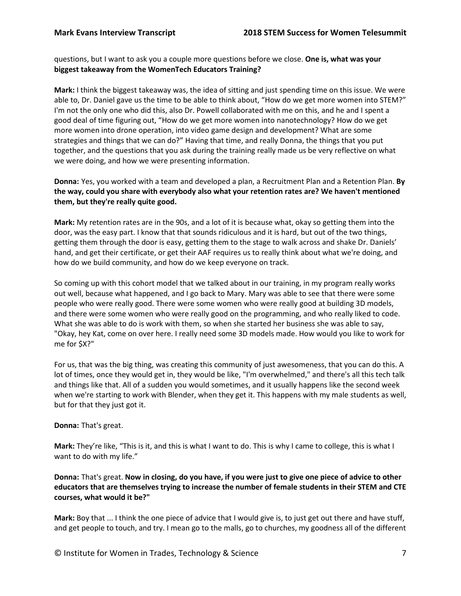questions, but I want to ask you a couple more questions before we close. **One is, what was your biggest takeaway from the WomenTech Educators Training?**

**Mark:** I think the biggest takeaway was, the idea of sitting and just spending time on this issue. We were able to, Dr. Daniel gave us the time to be able to think about, "How do we get more women into STEM?" I'm not the only one who did this, also Dr. Powell collaborated with me on this, and he and I spent a good deal of time figuring out, "How do we get more women into nanotechnology? How do we get more women into drone operation, into video game design and development? What are some strategies and things that we can do?" Having that time, and really Donna, the things that you put together, and the questions that you ask during the training really made us be very reflective on what we were doing, and how we were presenting information.

**Donna:** Yes, you worked with a team and developed a plan, a Recruitment Plan and a Retention Plan. **By the way, could you share with everybody also what your retention rates are? We haven't mentioned them, but they're really quite good.**

**Mark:** My retention rates are in the 90s, and a lot of it is because what, okay so getting them into the door, was the easy part. I know that that sounds ridiculous and it is hard, but out of the two things, getting them through the door is easy, getting them to the stage to walk across and shake Dr. Daniels' hand, and get their certificate, or get their AAF requires us to really think about what we're doing, and how do we build community, and how do we keep everyone on track.

So coming up with this cohort model that we talked about in our training, in my program really works out well, because what happened, and I go back to Mary. Mary was able to see that there were some people who were really good. There were some women who were really good at building 3D models, and there were some women who were really good on the programming, and who really liked to code. What she was able to do is work with them, so when she started her business she was able to say, "Okay, hey Kat, come on over here. I really need some 3D models made. How would you like to work for me for \$X?"

For us, that was the big thing, was creating this community of just awesomeness, that you can do this. A lot of times, once they would get in, they would be like, "I'm overwhelmed," and there's all this tech talk and things like that. All of a sudden you would sometimes, and it usually happens like the second week when we're starting to work with Blender, when they get it. This happens with my male students as well, but for that they just got it.

### **Donna:** That's great.

**Mark:** They're like, "This is it, and this is what I want to do. This is why I came to college, this is what I want to do with my life."

**Donna:** That's great. **Now in closing, do you have, if you were just to give one piece of advice to other educators that are themselves trying to increase the number of female students in their STEM and CTE courses, what would it be?"**

**Mark:** Boy that ... I think the one piece of advice that I would give is, to just get out there and have stuff, and get people to touch, and try. I mean go to the malls, go to churches, my goodness all of the different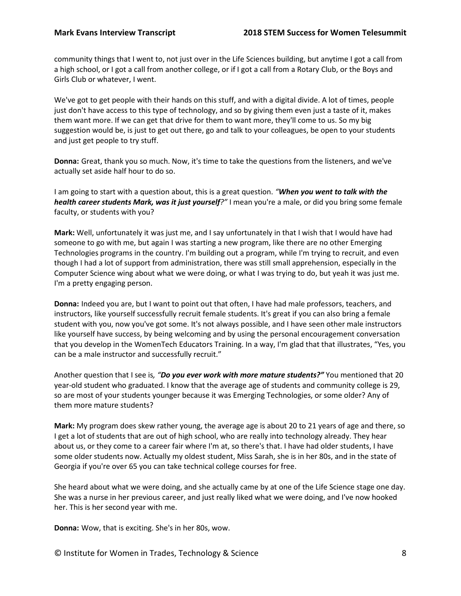community things that I went to, not just over in the Life Sciences building, but anytime I got a call from a high school, or I got a call from another college, or if I got a call from a Rotary Club, or the Boys and Girls Club or whatever, I went.

We've got to get people with their hands on this stuff, and with a digital divide. A lot of times, people just don't have access to this type of technology, and so by giving them even just a taste of it, makes them want more. If we can get that drive for them to want more, they'll come to us. So my big suggestion would be, is just to get out there, go and talk to your colleagues, be open to your students and just get people to try stuff.

**Donna:** Great, thank you so much. Now, it's time to take the questions from the listeners, and we've actually set aside half hour to do so.

I am going to start with a question about, this is a great question. *"When you went to talk with the health career students Mark, was it just yourself?"* I mean you're a male, or did you bring some female faculty, or students with you?

**Mark:** Well, unfortunately it was just me, and I say unfortunately in that I wish that I would have had someone to go with me, but again I was starting a new program, like there are no other Emerging Technologies programs in the country. I'm building out a program, while I'm trying to recruit, and even though I had a lot of support from administration, there was still small apprehension, especially in the Computer Science wing about what we were doing, or what I was trying to do, but yeah it was just me. I'm a pretty engaging person.

**Donna:** Indeed you are, but I want to point out that often, I have had male professors, teachers, and instructors, like yourself successfully recruit female students. It's great if you can also bring a female student with you, now you've got some. It's not always possible, and I have seen other male instructors like yourself have success, by being welcoming and by using the personal encouragement conversation that you develop in the WomenTech Educators Training. In a way, I'm glad that that illustrates, "Yes, you can be a male instructor and successfully recruit."

Another question that I see is*, "Do you ever work with more mature students?"* You mentioned that 20 year-old student who graduated. I know that the average age of students and community college is 29, so are most of your students younger because it was Emerging Technologies, or some older? Any of them more mature students?

**Mark:** My program does skew rather young, the average age is about 20 to 21 years of age and there, so I get a lot of students that are out of high school, who are really into technology already. They hear about us, or they come to a career fair where I'm at, so there's that. I have had older students, I have some older students now. Actually my oldest student, Miss Sarah, she is in her 80s, and in the state of Georgia if you're over 65 you can take technical college courses for free.

She heard about what we were doing, and she actually came by at one of the Life Science stage one day. She was a nurse in her previous career, and just really liked what we were doing, and I've now hooked her. This is her second year with me.

**Donna:** Wow, that is exciting. She's in her 80s, wow.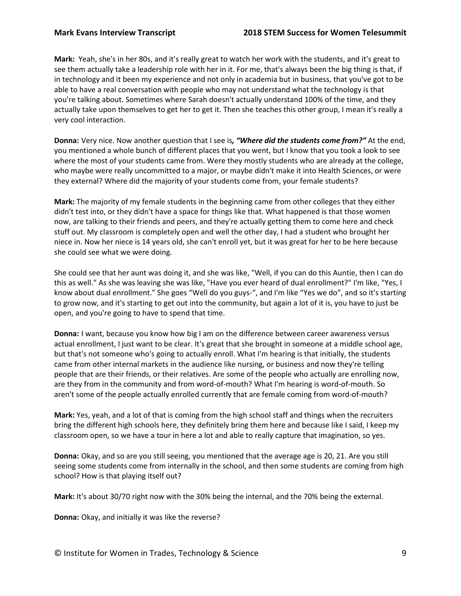**Mark:** Yeah, she's in her 80s, and it's really great to watch her work with the students, and it's great to see them actually take a leadership role with her in it. For me, that's always been the big thing is that, if in technology and it been my experience and not only in academia but in business, that you've got to be able to have a real conversation with people who may not understand what the technology is that you're talking about. Sometimes where Sarah doesn't actually understand 100% of the time, and they actually take upon themselves to get her to get it. Then she teaches this other group, I mean it's really a very cool interaction.

**Donna:** Very nice. Now another question that I see is*, "Where did the students come from?"* At the end, you mentioned a whole bunch of different places that you went, but I know that you took a look to see where the most of your students came from. Were they mostly students who are already at the college, who maybe were really uncommitted to a major, or maybe didn't make it into Health Sciences, or were they external? Where did the majority of your students come from, your female students?

**Mark:** The majority of my female students in the beginning came from other colleges that they either didn't test into, or they didn't have a space for things like that. What happened is that those women now, are talking to their friends and peers, and they're actually getting them to come here and check stuff out. My classroom is completely open and well the other day, I had a student who brought her niece in. Now her niece is 14 years old, she can't enroll yet, but it was great for her to be here because she could see what we were doing.

She could see that her aunt was doing it, and she was like, "Well, if you can do this Auntie, then I can do this as well." As she was leaving she was like, "Have you ever heard of dual enrollment?" I'm like, "Yes, I know about dual enrollment." She goes "Well do you guys-", and I'm like "Yes we do", and so it's starting to grow now, and it's starting to get out into the community, but again a lot of it is, you have to just be open, and you're going to have to spend that time.

**Donna:** I want, because you know how big I am on the difference between career awareness versus actual enrollment, I just want to be clear. It's great that she brought in someone at a middle school age, but that's not someone who's going to actually enroll. What I'm hearing is that initially, the students came from other internal markets in the audience like nursing, or business and now they're telling people that are their friends, or their relatives. Are some of the people who actually are enrolling now, are they from in the community and from word-of-mouth? What I'm hearing is word-of-mouth. So aren't some of the people actually enrolled currently that are female coming from word-of-mouth?

**Mark:** Yes, yeah, and a lot of that is coming from the high school staff and things when the recruiters bring the different high schools here, they definitely bring them here and because like I said, I keep my classroom open, so we have a tour in here a lot and able to really capture that imagination, so yes.

**Donna:** Okay, and so are you still seeing, you mentioned that the average age is 20, 21. Are you still seeing some students come from internally in the school, and then some students are coming from high school? How is that playing itself out?

**Mark:** It's about 30/70 right now with the 30% being the internal, and the 70% being the external.

**Donna:** Okay, and initially it was like the reverse?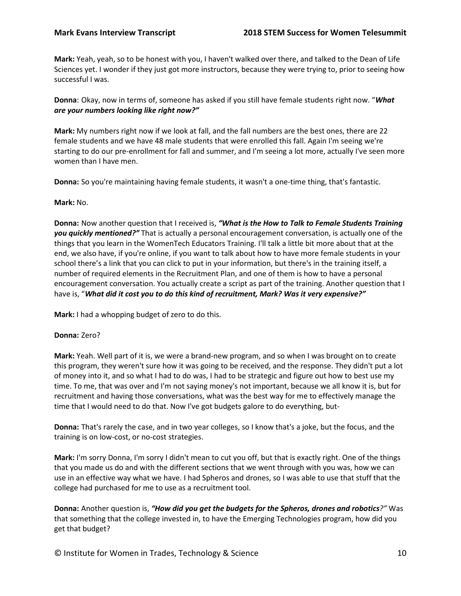**Mark:** Yeah, yeah, so to be honest with you, I haven't walked over there, and talked to the Dean of Life Sciences yet. I wonder if they just got more instructors, because they were trying to, prior to seeing how successful I was.

**Donna**: Okay, now in terms of, someone has asked if you still have female students right now. "*What are your numbers looking like right now?"*

**Mark:** My numbers right now if we look at fall, and the fall numbers are the best ones, there are 22 female students and we have 48 male students that were enrolled this fall. Again I'm seeing we're starting to do our pre-enrollment for fall and summer, and I'm seeing a lot more, actually I've seen more women than I have men.

**Donna:** So you're maintaining having female students, it wasn't a one-time thing, that's fantastic.

### **Mark:** No.

**Donna:** Now another question that I received is, *"What is the How to Talk to Female Students Training you quickly mentioned?"* That is actually a personal encouragement conversation, is actually one of the things that you learn in the WomenTech Educators Training. I'll talk a little bit more about that at the end, we also have, if you're online, if you want to talk about how to have more female students in your school there's a link that you can click to put in your information, but there's in the training itself, a number of required elements in the Recruitment Plan, and one of them is how to have a personal encouragement conversation. You actually create a script as part of the training. Another question that I have is, "*What did it cost you to do this kind of recruitment, Mark? Was it very expensive?"*

**Mark:** I had a whopping budget of zero to do this.

## **Donna:** Zero?

**Mark:** Yeah. Well part of it is, we were a brand-new program, and so when I was brought on to create this program, they weren't sure how it was going to be received, and the response. They didn't put a lot of money into it, and so what I had to do was, I had to be strategic and figure out how to best use my time. To me, that was over and I'm not saying money's not important, because we all know it is, but for recruitment and having those conversations, what was the best way for me to effectively manage the time that I would need to do that. Now I've got budgets galore to do everything, but-

**Donna:** That's rarely the case, and in two year colleges, so I know that's a joke, but the focus, and the training is on low-cost, or no-cost strategies.

**Mark:** I'm sorry Donna, I'm sorry I didn't mean to cut you off, but that is exactly right. One of the things that you made us do and with the different sections that we went through with you was, how we can use in an effective way what we have. I had Spheros and drones, so I was able to use that stuff that the college had purchased for me to use as a recruitment tool.

**Donna:** Another question is, *"How did you get the budgets for the Spheros, drones and robotics?"* Was that something that the college invested in, to have the Emerging Technologies program, how did you get that budget?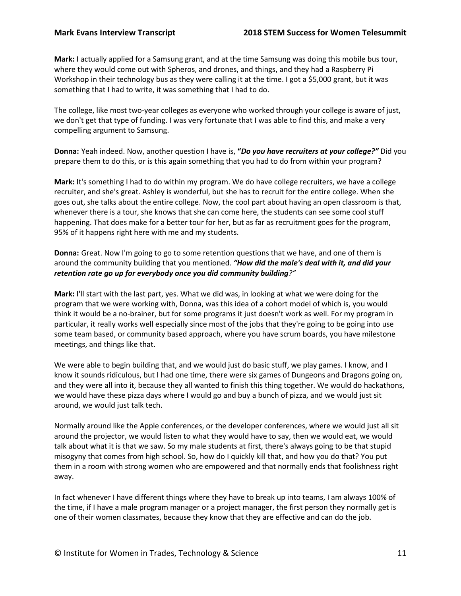**Mark:** I actually applied for a Samsung grant, and at the time Samsung was doing this mobile bus tour, where they would come out with Spheros, and drones, and things, and they had a Raspberry Pi Workshop in their technology bus as they were calling it at the time. I got a \$5,000 grant, but it was something that I had to write, it was something that I had to do.

The college, like most two-year colleges as everyone who worked through your college is aware of just, we don't get that type of funding. I was very fortunate that I was able to find this, and make a very compelling argument to Samsung.

**Donna:** Yeah indeed. Now, another question I have is, **"***Do you have recruiters at your college?"* Did you prepare them to do this, or is this again something that you had to do from within your program?

**Mark:** It's something I had to do within my program. We do have college recruiters, we have a college recruiter, and she's great. Ashley is wonderful, but she has to recruit for the entire college. When she goes out, she talks about the entire college. Now, the cool part about having an open classroom is that, whenever there is a tour, she knows that she can come here, the students can see some cool stuff happening. That does make for a better tour for her, but as far as recruitment goes for the program, 95% of it happens right here with me and my students.

**Donna:** Great. Now I'm going to go to some retention questions that we have, and one of them is around the community building that you mentioned. *"How did the male's deal with it, and did your retention rate go up for everybody once you did community building?"*

**Mark:** I'll start with the last part, yes. What we did was, in looking at what we were doing for the program that we were working with, Donna, was this idea of a cohort model of which is, you would think it would be a no-brainer, but for some programs it just doesn't work as well. For my program in particular, it really works well especially since most of the jobs that they're going to be going into use some team based, or community based approach, where you have scrum boards, you have milestone meetings, and things like that.

We were able to begin building that, and we would just do basic stuff, we play games. I know, and I know it sounds ridiculous, but I had one time, there were six games of Dungeons and Dragons going on, and they were all into it, because they all wanted to finish this thing together. We would do hackathons, we would have these pizza days where I would go and buy a bunch of pizza, and we would just sit around, we would just talk tech.

Normally around like the Apple conferences, or the developer conferences, where we would just all sit around the projector, we would listen to what they would have to say, then we would eat, we would talk about what it is that we saw. So my male students at first, there's always going to be that stupid misogyny that comes from high school. So, how do I quickly kill that, and how you do that? You put them in a room with strong women who are empowered and that normally ends that foolishness right away.

In fact whenever I have different things where they have to break up into teams, I am always 100% of the time, if I have a male program manager or a project manager, the first person they normally get is one of their women classmates, because they know that they are effective and can do the job.